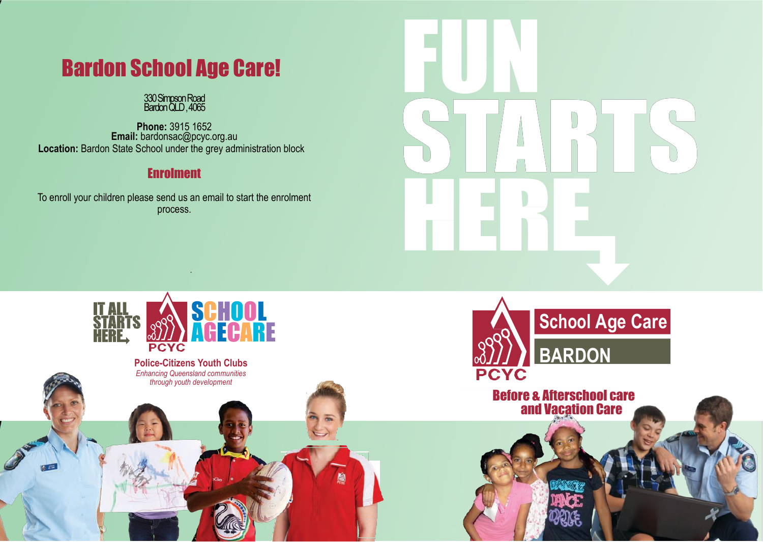# Bardon School Age Care!

#### 330 Simpson Road Bardon QLD , 4065

**Phone:** 3915 1652 **Email:** bardonsac@pcyc.org.au **Location:** Bardon State School under the grey administration block

## Enrolment

To enroll your children please send us an email to start the enrolment process.

.



![](_page_0_Picture_6.jpeg)